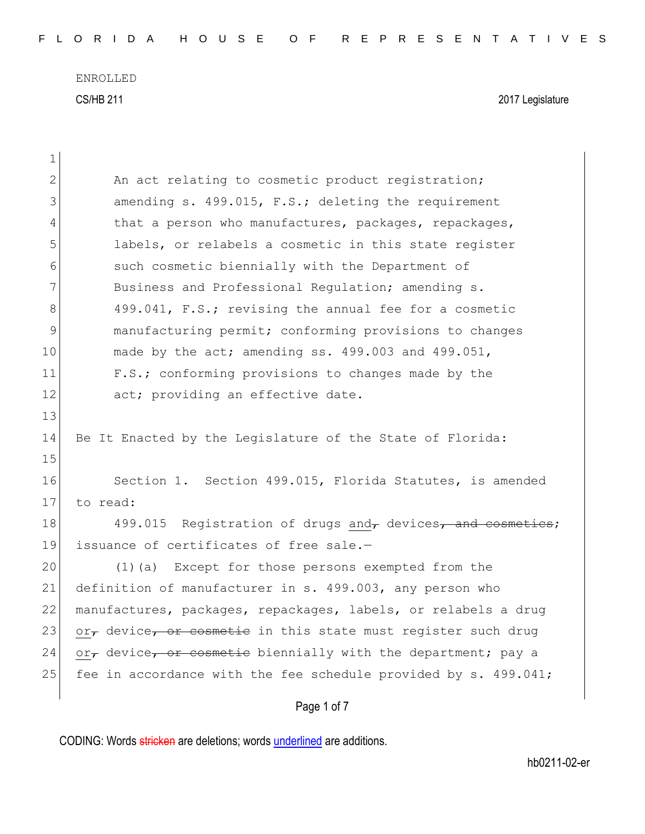| $\mathbf 1$    |                                                                 |
|----------------|-----------------------------------------------------------------|
| $\overline{2}$ | An act relating to cosmetic product registration;               |
| 3              | amending s. 499.015, F.S.; deleting the requirement             |
| 4              | that a person who manufactures, packages, repackages,           |
| 5              | labels, or relabels a cosmetic in this state register           |
| 6              | such cosmetic biennially with the Department of                 |
| 7              | Business and Professional Regulation; amending s.               |
| 8              | 499.041, F.S.; revising the annual fee for a cosmetic           |
| $\mathcal{G}$  | manufacturing permit; conforming provisions to changes          |
| 10             | made by the act; amending ss. 499.003 and 499.051,              |
| 11             | F.S.; conforming provisions to changes made by the              |
| 12             | act; providing an effective date.                               |
| 13             |                                                                 |
| 14             | Be It Enacted by the Legislature of the State of Florida:       |
| 15             |                                                                 |
| 16             | Section 1. Section 499.015, Florida Statutes, is amended        |
| 17             | to read:                                                        |
| 18             | 499.015 Registration of drugs and, devices, and cosmetics;      |
| 19             | issuance of certificates of free sale.-                         |
| 20             | (1)(a) Except for those persons exempted from the               |
| 21             | definition of manufacturer in s. 499.003, any person who        |
| 22             | manufactures, packages, repackages, labels, or relabels a drug  |
| 23             | or, device, or cosmetic in this state must register such drug   |
| 24             | or, device, or cosmetic biennially with the department; pay a   |
| 25             | fee in accordance with the fee schedule provided by s. 499.041; |
|                | Page 1 of 7                                                     |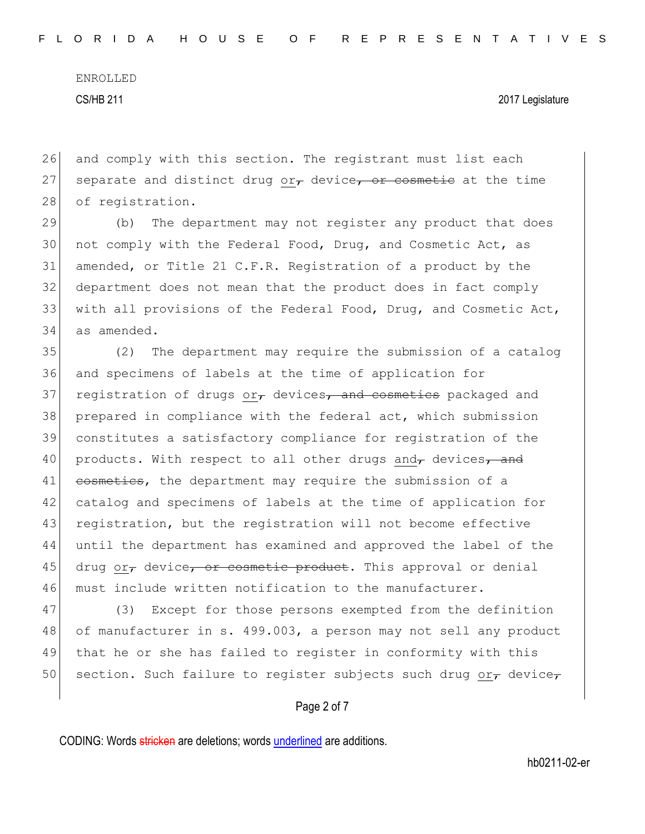ENROLLED

CS/HB 211 2017 Legislature

26 and comply with this section. The registrant must list each 27 separate and distinct drug or $\tau$  device, or cosmetic at the time 28 of registration.

 (b) The department may not register any product that does not comply with the Federal Food, Drug, and Cosmetic Act, as amended, or Title 21 C.F.R. Registration of a product by the department does not mean that the product does in fact comply with all provisions of the Federal Food, Drug, and Cosmetic Act, as amended.

35 (2) The department may require the submission of a catalog 36 and specimens of labels at the time of application for 37 registration of drugs or, devices, and cosmetics packaged and 38 prepared in compliance with the federal act, which submission 39 constitutes a satisfactory compliance for registration of the 40 products. With respect to all other drugs and, devices, and 41 cosmetics, the department may require the submission of a 42 catalog and specimens of labels at the time of application for 43 registration, but the registration will not become effective 44 until the department has examined and approved the label of the 45 drug or, device, or cosmetic product. This approval or denial 46 must include written notification to the manufacturer.

47 (3) Except for those persons exempted from the definition 48 of manufacturer in s. 499.003, a person may not sell any product 49 that he or she has failed to register in conformity with this 50 section. Such failure to register subjects such drug or $_{\tau}$  device $_{\tau}$ 

### Page 2 of 7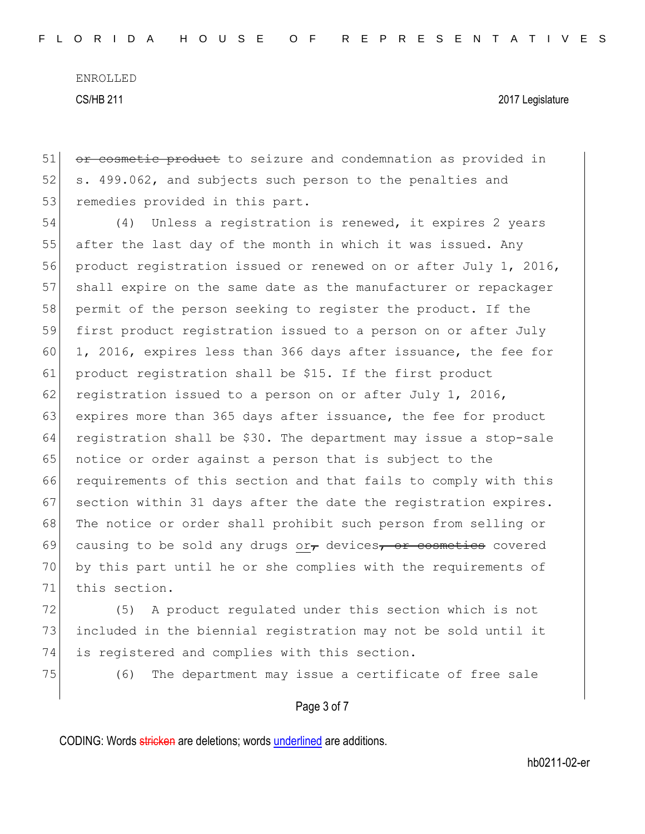51 or cosmetic product to seizure and condemnation as provided in 52 s. 499.062, and subjects such person to the penalties and 53 remedies provided in this part.

54 (4) Unless a registration is renewed, it expires 2 years 55 after the last day of the month in which it was issued. Any 56 product registration issued or renewed on or after July 1, 2016, 57 shall expire on the same date as the manufacturer or repackager 58 permit of the person seeking to register the product. If the 59 first product registration issued to a person on or after July 60 1, 2016, expires less than 366 days after issuance, the fee for 61 product registration shall be \$15. If the first product 62 registration issued to a person on or after July 1, 2016, 63 expires more than 365 days after issuance, the fee for product 64 registration shall be \$30. The department may issue a stop-sale 65 notice or order against a person that is subject to the 66 requirements of this section and that fails to comply with this 67 section within 31 days after the date the registration expires. 68 The notice or order shall prohibit such person from selling or 69 causing to be sold any drugs or devices, or cosmetics covered 70 by this part until he or she complies with the requirements of 71 this section.

72 (5) A product regulated under this section which is not 73 included in the biennial registration may not be sold until it 74 is registered and complies with this section.

75 (6) The department may issue a certificate of free sale

#### Page 3 of 7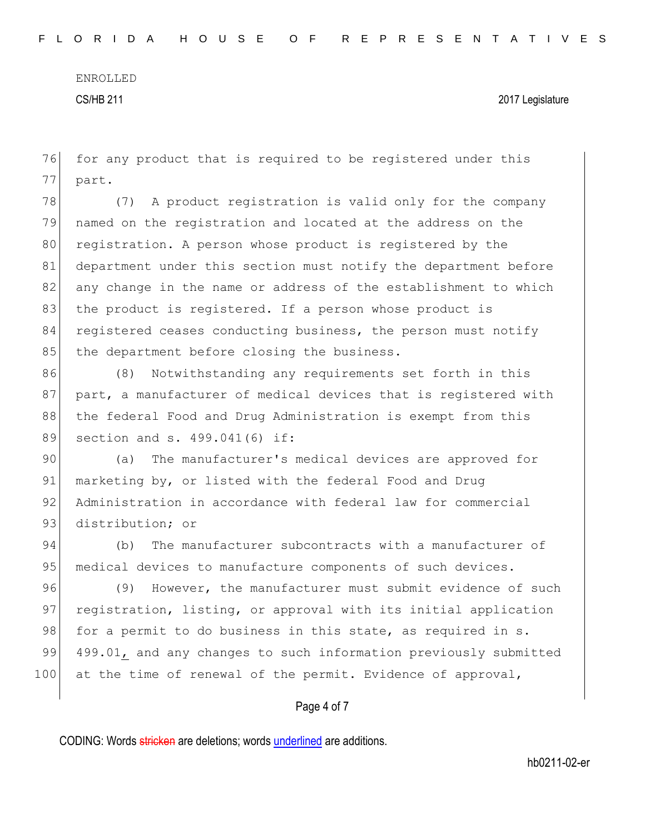ENROLLED

CS/HB 211 2017 Legislature

76 for any product that is required to be registered under this 77 part.

78 (7) A product registration is valid only for the company 79 named on the registration and located at the address on the 80 registration. A person whose product is registered by the 81 department under this section must notify the department before 82 any change in the name or address of the establishment to which 83 the product is registered. If a person whose product is 84 registered ceases conducting business, the person must notify 85 the department before closing the business.

86 (8) Notwithstanding any requirements set forth in this 87 part, a manufacturer of medical devices that is registered with 88 the federal Food and Drug Administration is exempt from this 89 section and s. 499.041(6) if:

90 (a) The manufacturer's medical devices are approved for 91 marketing by, or listed with the federal Food and Drug 92 Administration in accordance with federal law for commercial 93 distribution; or

94 (b) The manufacturer subcontracts with a manufacturer of 95 medical devices to manufacture components of such devices.

96 (9) However, the manufacturer must submit evidence of such 97 registration, listing, or approval with its initial application 98 for a permit to do business in this state, as required in s. 99 499.01, and any changes to such information previously submitted 100 at the time of renewal of the permit. Evidence of approval,

### Page 4 of 7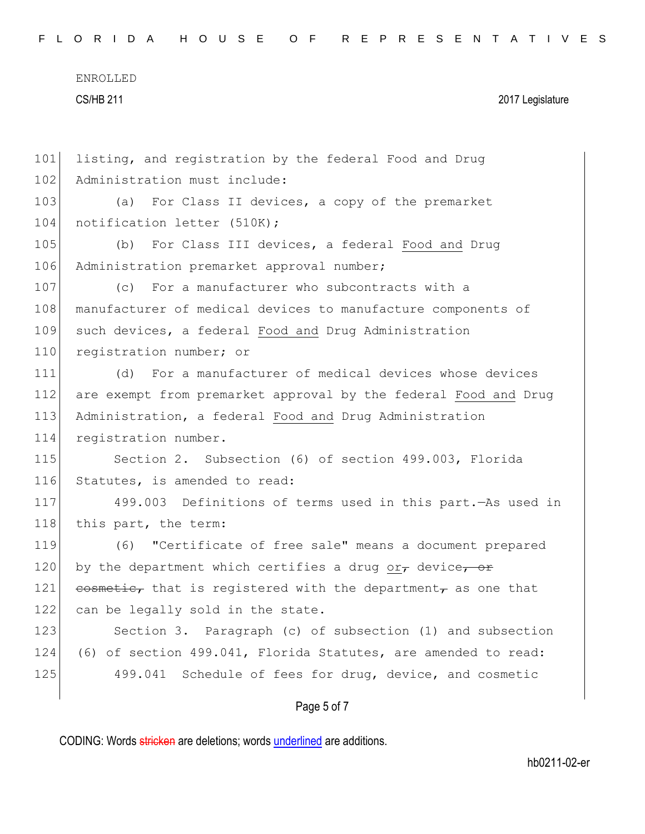| FLORIDA HOUSE OF REPRESENTATIVES |  |
|----------------------------------|--|
|----------------------------------|--|

| 101 | listing, and registration by the federal Food and Drug          |
|-----|-----------------------------------------------------------------|
| 102 | Administration must include:                                    |
| 103 | For Class II devices, a copy of the premarket<br>(a)            |
| 104 | notification letter (510K);                                     |
| 105 | For Class III devices, a federal Food and Drug<br>(b)           |
| 106 | Administration premarket approval number;                       |
| 107 | For a manufacturer who subcontracts with a<br>(C)               |
| 108 | manufacturer of medical devices to manufacture components of    |
| 109 | such devices, a federal Food and Drug Administration            |
| 110 | registration number; or                                         |
| 111 | For a manufacturer of medical devices whose devices<br>(d)      |
| 112 | are exempt from premarket approval by the federal Food and Drug |
| 113 | Administration, a federal Food and Drug Administration          |
| 114 | registration number.                                            |
| 115 | Section 2. Subsection (6) of section 499.003, Florida           |
| 116 | Statutes, is amended to read:                                   |
| 117 | 499.003 Definitions of terms used in this part. - As used in    |
| 118 | this part, the term:                                            |
| 119 | (6) "Certificate of free sale" means a document prepared        |
| 120 | by the department which certifies a drug or, device, or         |
| 121 | cosmetic, that is registered with the department, as one that   |
| 122 | can be legally sold in the state.                               |
| 123 | Section 3. Paragraph (c) of subsection (1) and subsection       |
| 124 | (6) of section 499.041, Florida Statutes, are amended to read:  |
| 125 | 499.041 Schedule of fees for drug, device, and cosmetic         |
|     |                                                                 |

# Page 5 of 7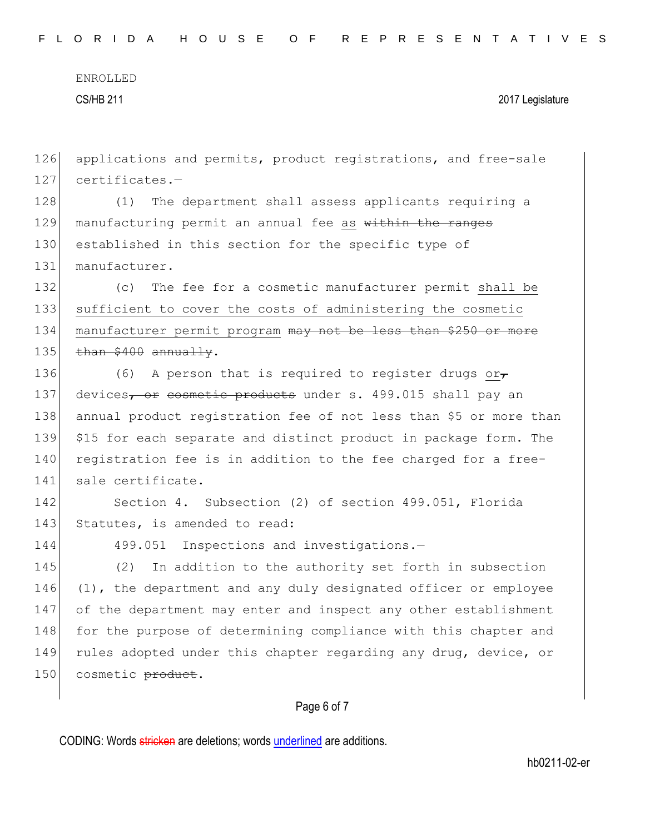ENROLLED

CS/HB 211 2017 Legislature

126 applications and permits, product registrations, and free-sale 127 certificates.-128 (1) The department shall assess applicants requiring a 129 manufacturing permit an annual fee as within the ranges 130 established in this section for the specific type of 131 manufacturer. 132 (c) The fee for a cosmetic manufacturer permit shall be 133 sufficient to cover the costs of administering the cosmetic 134 manufacturer permit program may not be less than \$250 or more  $135$  than \$400 annually. 136 (6) A person that is required to register drugs or $<sub>\tau</sub>$ </sub> 137 devices, or cosmetic products under s. 499.015 shall pay an 138 annual product registration fee of not less than \$5 or more than 139 \$15 for each separate and distinct product in package form. The 140 registration fee is in addition to the fee charged for a free-141 sale certificate. 142 Section 4. Subsection (2) of section 499.051, Florida 143 Statutes, is amended to read: 144 499.051 Inspections and investigations.-145 (2) In addition to the authority set forth in subsection 146 (1), the department and any duly designated officer or employee 147 of the department may enter and inspect any other establishment 148 for the purpose of determining compliance with this chapter and 149 rules adopted under this chapter regarding any drug, device, or 150 cosmetic product.

## Page 6 of 7